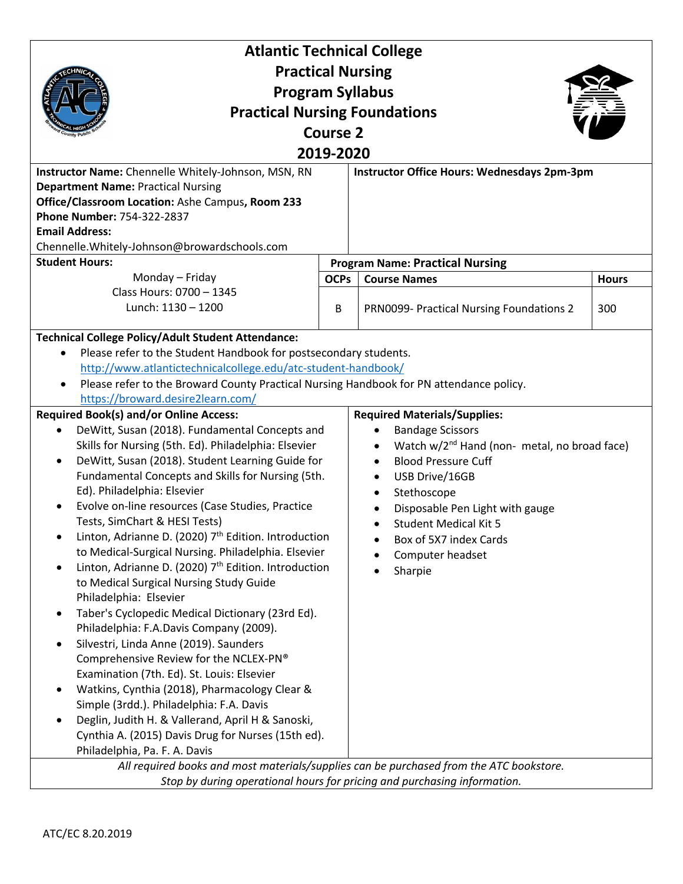| <b>Atlantic Technical College</b>                                                       |             |                                                          |              |  |
|-----------------------------------------------------------------------------------------|-------------|----------------------------------------------------------|--------------|--|
| <b>Practical Nursing</b>                                                                |             |                                                          |              |  |
| <b>Program Syllabus</b>                                                                 |             |                                                          |              |  |
| <b>Practical Nursing Foundations</b>                                                    |             |                                                          |              |  |
| <b>Course 2</b>                                                                         |             |                                                          |              |  |
| 2019-2020                                                                               |             |                                                          |              |  |
| Instructor Name: Chennelle Whitely-Johnson, MSN, RN                                     |             | Instructor Office Hours: Wednesdays 2pm-3pm              |              |  |
| <b>Department Name: Practical Nursing</b>                                               |             |                                                          |              |  |
| Office/Classroom Location: Ashe Campus, Room 233                                        |             |                                                          |              |  |
| Phone Number: 754-322-2837                                                              |             |                                                          |              |  |
| <b>Email Address:</b>                                                                   |             |                                                          |              |  |
| Chennelle.Whitely-Johnson@browardschools.com                                            |             |                                                          |              |  |
| <b>Student Hours:</b>                                                                   |             | <b>Program Name: Practical Nursing</b>                   |              |  |
| Monday - Friday<br>Class Hours: 0700 - 1345                                             | <b>OCPs</b> | <b>Course Names</b>                                      | <b>Hours</b> |  |
| Lunch: 1130 - 1200                                                                      | B           | PRN0099- Practical Nursing Foundations 2                 | 300          |  |
|                                                                                         |             |                                                          |              |  |
| <b>Technical College Policy/Adult Student Attendance:</b>                               |             |                                                          |              |  |
| Please refer to the Student Handbook for postsecondary students.                        |             |                                                          |              |  |
| http://www.atlantictechnicalcollege.edu/atc-student-handbook/                           |             |                                                          |              |  |
| Please refer to the Broward County Practical Nursing Handbook for PN attendance policy. |             |                                                          |              |  |
| https://broward.desire2learn.com/                                                       |             |                                                          |              |  |
| <b>Required Book(s) and/or Online Access:</b>                                           |             | <b>Required Materials/Supplies:</b>                      |              |  |
| DeWitt, Susan (2018). Fundamental Concepts and<br>$\bullet$                             |             | <b>Bandage Scissors</b>                                  |              |  |
| Skills for Nursing (5th. Ed). Philadelphia: Elsevier                                    |             | Watch w/2 <sup>nd</sup> Hand (non- metal, no broad face) |              |  |
| DeWitt, Susan (2018). Student Learning Guide for<br>$\bullet$                           |             | <b>Blood Pressure Cuff</b>                               |              |  |
| Fundamental Concepts and Skills for Nursing (5th.                                       |             | USB Drive/16GB<br>$\bullet$                              |              |  |
| Ed). Philadelphia: Elsevier                                                             |             | Stethoscope<br>$\bullet$                                 |              |  |
| Evolve on-line resources (Case Studies, Practice                                        |             | Disposable Pen Light with gauge                          |              |  |
| Tests, SimChart & HESI Tests)                                                           |             | <b>Student Medical Kit 5</b>                             |              |  |
| Linton, Adrianne D. (2020) 7 <sup>th</sup> Edition. Introduction                        |             | Box of 5X7 index Cards                                   |              |  |
| to Medical-Surgical Nursing. Philadelphia. Elsevier                                     |             | Computer headset                                         |              |  |
| Linton, Adrianne D. (2020) 7 <sup>th</sup> Edition. Introduction<br>$\bullet$           |             | Sharpie                                                  |              |  |
| to Medical Surgical Nursing Study Guide<br>Philadelphia: Elsevier                       |             |                                                          |              |  |
| Taber's Cyclopedic Medical Dictionary (23rd Ed).<br>$\bullet$                           |             |                                                          |              |  |
| Philadelphia: F.A.Davis Company (2009).                                                 |             |                                                          |              |  |
| Silvestri, Linda Anne (2019). Saunders<br>$\bullet$                                     |             |                                                          |              |  |
| Comprehensive Review for the NCLEX-PN®                                                  |             |                                                          |              |  |
| Examination (7th. Ed). St. Louis: Elsevier                                              |             |                                                          |              |  |
| Watkins, Cynthia (2018), Pharmacology Clear &<br>$\bullet$                              |             |                                                          |              |  |
| Simple (3rdd.). Philadelphia: F.A. Davis                                                |             |                                                          |              |  |
| Deglin, Judith H. & Vallerand, April H & Sanoski,                                       |             |                                                          |              |  |
| Cynthia A. (2015) Davis Drug for Nurses (15th ed).                                      |             |                                                          |              |  |
| Philadelphia, Pa. F. A. Davis                                                           |             |                                                          |              |  |
| All required books and most materials/supplies can be purchased from the ATC bookstore. |             |                                                          |              |  |
| Stop by during operational hours for pricing and purchasing information.                |             |                                                          |              |  |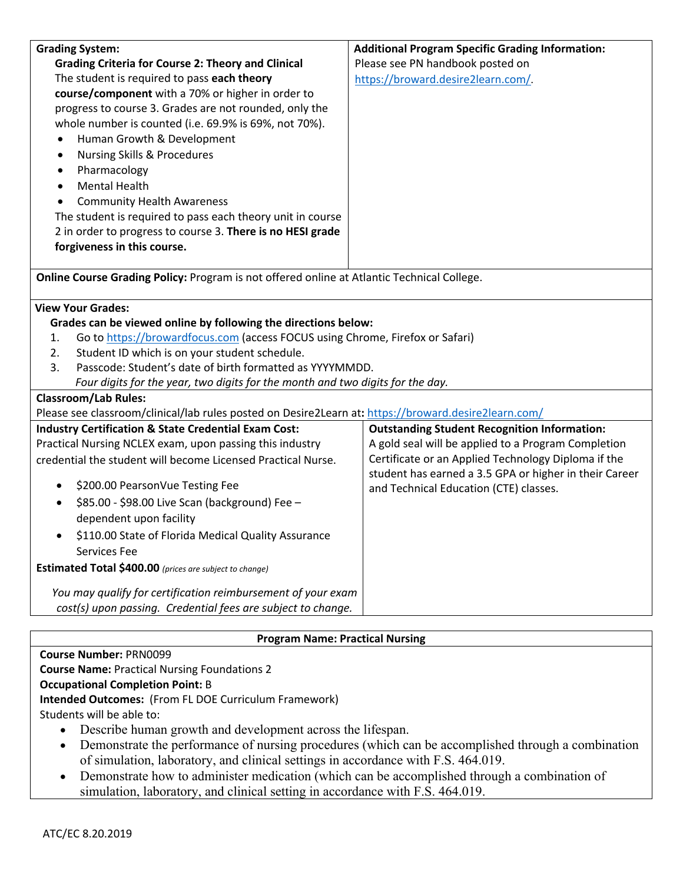| <b>Grading System:</b>                                                                               | <b>Additional Program Specific Grading Information:</b>                                                       |  |  |
|------------------------------------------------------------------------------------------------------|---------------------------------------------------------------------------------------------------------------|--|--|
| <b>Grading Criteria for Course 2: Theory and Clinical</b>                                            | Please see PN handbook posted on                                                                              |  |  |
| The student is required to pass each theory                                                          | https://broward.desire2learn.com/                                                                             |  |  |
| course/component with a 70% or higher in order to                                                    |                                                                                                               |  |  |
| progress to course 3. Grades are not rounded, only the                                               |                                                                                                               |  |  |
| whole number is counted (i.e. 69.9% is 69%, not 70%).                                                |                                                                                                               |  |  |
| Human Growth & Development<br>$\bullet$                                                              |                                                                                                               |  |  |
| <b>Nursing Skills &amp; Procedures</b><br>$\bullet$                                                  |                                                                                                               |  |  |
| Pharmacology<br>$\bullet$                                                                            |                                                                                                               |  |  |
| <b>Mental Health</b><br>$\bullet$                                                                    |                                                                                                               |  |  |
| <b>Community Health Awareness</b>                                                                    |                                                                                                               |  |  |
| The student is required to pass each theory unit in course                                           |                                                                                                               |  |  |
| 2 in order to progress to course 3. There is no HESI grade                                           |                                                                                                               |  |  |
| forgiveness in this course.                                                                          |                                                                                                               |  |  |
| Online Course Grading Policy: Program is not offered online at Atlantic Technical College.           |                                                                                                               |  |  |
| <b>View Your Grades:</b>                                                                             |                                                                                                               |  |  |
| Grades can be viewed online by following the directions below:                                       |                                                                                                               |  |  |
| Go to https://browardfocus.com (access FOCUS using Chrome, Firefox or Safari)<br>1.                  |                                                                                                               |  |  |
| Student ID which is on your student schedule.<br>2.                                                  |                                                                                                               |  |  |
| Passcode: Student's date of birth formatted as YYYYMMDD.<br>3.                                       |                                                                                                               |  |  |
| Four digits for the year, two digits for the month and two digits for the day.                       |                                                                                                               |  |  |
| <b>Classroom/Lab Rules:</b>                                                                          |                                                                                                               |  |  |
| Please see classroom/clinical/lab rules posted on Desire2Learn at: https://broward.desire2learn.com/ |                                                                                                               |  |  |
| <b>Industry Certification &amp; State Credential Exam Cost:</b>                                      | <b>Outstanding Student Recognition Information:</b>                                                           |  |  |
| Practical Nursing NCLEX exam, upon passing this industry                                             | A gold seal will be applied to a Program Completion                                                           |  |  |
| credential the student will become Licensed Practical Nurse.                                         | Certificate or an Applied Technology Diploma if the<br>student has earned a 3.5 GPA or higher in their Career |  |  |
| \$200.00 PearsonVue Testing Fee<br>$\bullet$                                                         | and Technical Education (CTE) classes.                                                                        |  |  |
| \$85.00 - \$98.00 Live Scan (background) Fee -<br>$\bullet$                                          |                                                                                                               |  |  |
| dependent upon facility                                                                              |                                                                                                               |  |  |
| \$110.00 State of Florida Medical Quality Assurance                                                  |                                                                                                               |  |  |
| Services Fee                                                                                         |                                                                                                               |  |  |
| Estimated Total \$400.00 (prices are subject to change)                                              |                                                                                                               |  |  |
| You may qualify for certification reimbursement of your exam                                         |                                                                                                               |  |  |
| cost(s) upon passing. Credential fees are subject to change.                                         |                                                                                                               |  |  |

## **Program Name: Practical Nursing**

**Course Number:** PRN0099 **Course Name:** Practical Nursing Foundations 2

## **Occupational Completion Point:** B

**Intended Outcomes:** (From FL DOE Curriculum Framework)

Students will be able to:

- Describe human growth and development across the lifespan.
- Demonstrate the performance of nursing procedures (which can be accomplished through a combination of simulation, laboratory, and clinical settings in accordance with F.S. 464.019.
- Demonstrate how to administer medication (which can be accomplished through a combination of simulation, laboratory, and clinical setting in accordance with F.S. 464.019.